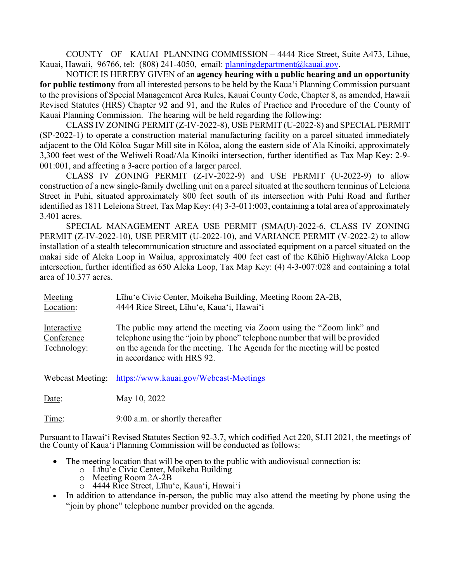COUNTY OF KAUAI PLANNING COMMISSION – 4444 Rice Street, Suite A473, Lihue, Kauai, Hawaii, 96766, tel: (808) 241-4050, email: [planningdepartment@kauai.gov.](mailto:planningdepartment@kauai.gov)

NOTICE IS HEREBY GIVEN of an **agency hearing with a public hearing and an opportunity for public testimony** from all interested persons to be held by the Kaua'i Planning Commission pursuant to the provisions of Special Management Area Rules, Kauai County Code, Chapter 8, as amended, Hawaii Revised Statutes (HRS) Chapter 92 and 91, and the Rules of Practice and Procedure of the County of Kauai Planning Commission. The hearing will be held regarding the following:

CLASS IV ZONING PERMIT (Z-IV-2022-8), USE PERMIT (U-2022-8) and SPECIAL PERMIT (SP-2022-1) to operate a construction material manufacturing facility on a parcel situated immediately adjacent to the Old Kōloa Sugar Mill site in Kōloa, along the eastern side of Ala Kinoiki, approximately 3,300 feet west of the Weliweli Road/Ala Kinoiki intersection, further identified as Tax Map Key: 2-9- 001:001, and affecting a 3-acre portion of a larger parcel.

CLASS IV ZONING PERMIT (Z-IV-2022-9) and USE PERMIT (U-2022-9) to allow construction of a new single-family dwelling unit on a parcel situated at the southern terminus of Leleiona Street in Puhi, situated approximately 800 feet south of its intersection with Puhi Road and further identified as 1811 Leleiona Street, Tax Map Key: (4) 3-3-011:003, containing a total area of approximately 3.401 acres.

SPECIAL MANAGEMENT AREA USE PERMIT (SMA(U)-2022-6, CLASS IV ZONING PERMIT (Z-IV-2022-10), USE PERMIT (U-2022-10), and VARIANCE PERMIT (V-2022-2) to allow installation of a stealth telecommunication structure and associated equipment on a parcel situated on the makai side of Aleka Loop in Wailua, approximately 400 feet east of the Kūhiō Highway/Aleka Loop intersection, further identified as 650 Aleka Loop, Tax Map Key: (4) 4-3-007:028 and containing a total area of 10.377 acres.

| Meeting<br>Location:                     | Līhu'e Civic Center, Moikeha Building, Meeting Room 2A-2B,<br>4444 Rice Street, Līhu'e, Kaua'i, Hawai'i                                                                                                                                                      |
|------------------------------------------|--------------------------------------------------------------------------------------------------------------------------------------------------------------------------------------------------------------------------------------------------------------|
| Interactive<br>Conference<br>Technology: | The public may attend the meeting via Zoom using the "Zoom link" and<br>telephone using the "join by phone" telephone number that will be provided<br>on the agenda for the meeting. The Agenda for the meeting will be posted<br>in accordance with HRS 92. |
| Webcast Meeting:                         | https://www.kauai.gov/Webcast-Meetings                                                                                                                                                                                                                       |
| Date:                                    | May 10, 2022                                                                                                                                                                                                                                                 |
| Time:                                    | 9:00 a.m. or shortly thereafter                                                                                                                                                                                                                              |

Pursuant to Hawai'i Revised Statutes Section 92-3.7, which codified Act 220, SLH 2021, the meetings of the County of Kaua'i Planning Commission will be conducted as follows:

- The meeting location that will be open to the public with audiovisual connection is:
	- o Līhu'e Civic Center, Moikeha Building
	- o Meeting Room 2A-2B<br>0 4444 Rice Street, Lihu
	- o 4444 Rice Street, Līhu'e, Kaua'i, Hawai'i
- In addition to attendance in-person, the public may also attend the meeting by phone using the "join by phone" telephone number provided on the agenda.